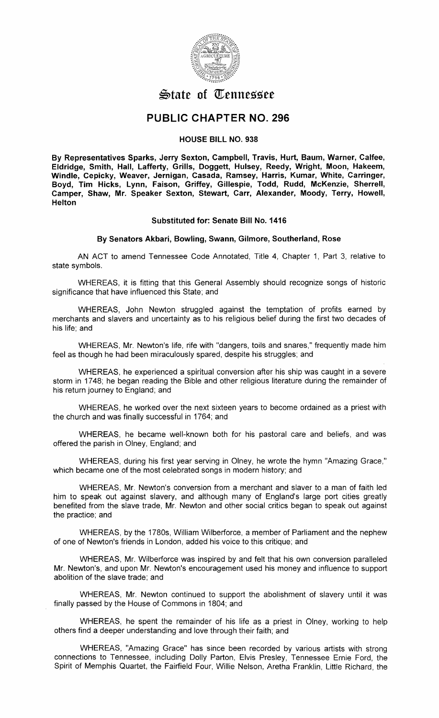

# **\$)fate of m:ennessee**

# **PUBLIC CHAPTER NO. 296**

### **HOUSE BILL NO. 938**

**By Representatives Sparks, Jerry Sexton, Campbell, Travis, Hurt, Baum, Warner, Calfee, Eldridge, Smith, Hall, Lafferty, Grills, Doggett, Hulsey, Reedy, Wright, Moon, Hakeem, Windle, Cepicky, Weaver, Jernigan, Casada, Ramsey, Harris, Kumar, White, Carringer, Boyd, Tim Hicks, Lynn, Faison, Griffey, Gillespie, Todd, Rudd, McKenzie, Sherrell, Camper, Shaw, Mr. Speaker Sexton, Stewart, Carr, Alexander, Moody, Terry, Howell, Helton** 

## **Substituted for: Senate Bill No. 1416**

#### **By Senators Akbari, Bowling, Swann, Gilmore, Southerland, Rose**

AN ACT to amend Tennessee Code Annotated, Title 4, Chapter 1, Part 3, relative to state symbols.

WHEREAS, it is fitting that this General Assembly should recognize songs of historic significance that have influenced this State; and

WHEREAS, John Newton struggled against the temptation of profits earned by merchants and slavers and uncertainty as to his religious belief during the first two decades of his life; and

WHEREAS, Mr. Newton's life, rife with "dangers, toils and snares," frequently made him feel as though he had been miraculously spared, despite his struggles; and

WHEREAS, he experienced a spiritual conversion after his ship was caught in a severe storm in 1748; he began reading the Bible and other religious literature during the remainder of his return journey to England; and

WHEREAS, he worked over the next sixteen years to become ordained as a priest with the church and was finally successful in 1764; and

WHEREAS, he became well-known both for his pastoral care and beliefs, and was offered the parish in Olney, England; and

WHEREAS, during his first year serving in Olney, he wrote the hymn "Amazing Grace," which became one of the most celebrated songs in modern history; and

WHEREAS, Mr. Newton's conversion from a merchant and slaver to a man of faith led him to speak out against slavery, and although many of England's large port cities greatly benefited from the slave trade, Mr. Newton and other social critics began to speak out against the practice; and

WHEREAS, by the 1780s, William Wilberforce, a member of Parliament and the nephew of one of Newton's friends in London, added his voice to this critique; and

WHEREAS, Mr. Wilberforce was inspired by and felt that his own conversion paralleled Mr. Newton's, and upon Mr. Newton's encouragement used his money and influence to support abolition of the slave trade; and

WHEREAS, Mr. Newton continued to support the abolishment of slavery until it was finally passed by the House of Commons in 1804; and

WHEREAS, he spent the remainder of his life as a priest in Olney, working to help others find a deeper understanding and love through their faith; and

WHEREAS, "Amazing Grace" has since been recorded by various artists with strong connections to Tennessee, including Dolly Parton, Elvis Presley, Tennessee Ernie Ford, the Spirit of Memphis Quartet, the Fairfield Four, Willie Nelson, Aretha Franklin, Little Richard, the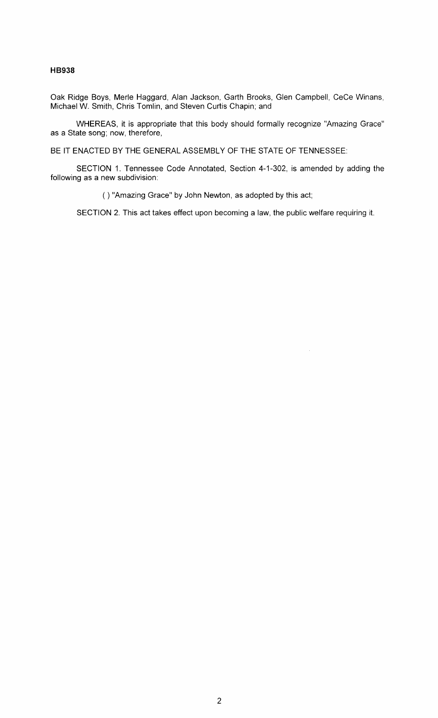### **HB938**

Oak Ridge Boys, Merle Haggard, Alan Jackson, Garth Brooks, Glen Campbell, Cece Winans, Michael W. Smith, Chris Tomlin, and Steven Curtis Chapin; and

WHEREAS, it is appropriate that this body should formally recognize "Amazing Grace" as a State song; now, therefore,

BE IT ENACTED BY THE GENERAL ASSEMBLY OF THE STATE OF TENNESSEE:

SECTION 1. Tennessee Code Annotated, Section 4-1-302, is amended by adding the following as a new subdivision:

( ) "Amazing Grace" by John Newton, as adopted by this act;

SECTION 2. This act takes effect upon becoming a law, the public welfare requiring it.